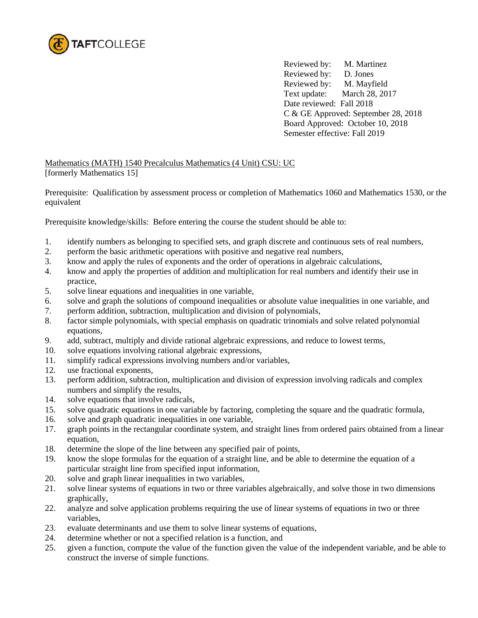

Reviewed by: M. Martinez Reviewed by: D. Jones Reviewed by: M. Mayfield Text update: March 28, 2017 Date reviewed: Fall 2018 C & GE Approved: September 28, 2018 Board Approved: October 10, 2018 Semester effective: Fall 2019

Mathematics (MATH) 1540 Precalculus Mathematics (4 Unit) CSU: UC [formerly Mathematics 15]

Prerequisite: Qualification by assessment process or completion of Mathematics 1060 and Mathematics 1530, or the equivalent

Prerequisite knowledge/skills: Before entering the course the student should be able to:

- 1. identify numbers as belonging to specified sets, and graph discrete and continuous sets of real numbers,
- 2. perform the basic arithmetic operations with positive and negative real numbers,
- 3. know and apply the rules of exponents and the order of operations in algebraic calculations,
- 4. know and apply the properties of addition and multiplication for real numbers and identify their use in practice,
- 5. solve linear equations and inequalities in one variable,
- 6. solve and graph the solutions of compound inequalities or absolute value inequalities in one variable, and
- 7. perform addition, subtraction, multiplication and division of polynomials,
- 8. factor simple polynomials, with special emphasis on quadratic trinomials and solve related polynomial equations,
- 9. add, subtract, multiply and divide rational algebraic expressions, and reduce to lowest terms,
- 10. solve equations involving rational algebraic expressions,
- 11. simplify radical expressions involving numbers and/or variables,
- 12. use fractional exponents,
- 13. perform addition, subtraction, multiplication and division of expression involving radicals and complex numbers and simplify the results,
- 14. solve equations that involve radicals,
- 15. solve quadratic equations in one variable by factoring, completing the square and the quadratic formula,
- 16. solve and graph quadratic inequalities in one variable,
- 17. graph points in the rectangular coordinate system, and straight lines from ordered pairs obtained from a linear equation,
- 18. determine the slope of the line between any specified pair of points,
- 19. know the slope formulas for the equation of a straight line, and be able to determine the equation of a particular straight line from specified input information,
- 20. solve and graph linear inequalities in two variables,
- 21. solve linear systems of equations in two or three variables algebraically, and solve those in two dimensions graphically,
- 22. analyze and solve application problems requiring the use of linear systems of equations in two or three variables,
- 23. evaluate determinants and use them to solve linear systems of equations,
- 24. determine whether or not a specified relation is a function, and
- 25. given a function, compute the value of the function given the value of the independent variable, and be able to construct the inverse of simple functions.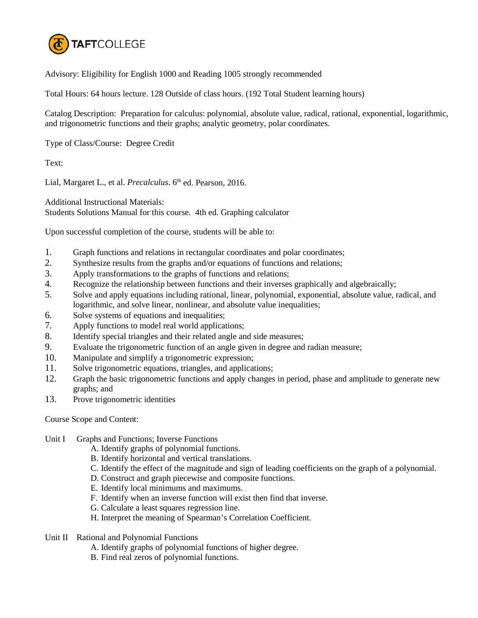

Advisory: Eligibility for English 1000 and Reading 1005 strongly recommended

Total Hours: 64 hours lecture. 128 Outside of class hours. (192 Total Student learning hours)

Catalog Description: Preparation for calculus: polynomial, absolute value, radical, rational, exponential, logarithmic, and trigonometric functions and their graphs; analytic geometry, polar coordinates.

Type of Class/Course: Degree Credit

Text:

Lial, Margaret L., et al. *Precalculus*. 6<sup>th</sup> ed. Pearson, 2016.

Additional Instructional Materials:

Students Solutions Manual for this course. 4th ed. Graphing calculator

Upon successful completion of the course, students will be able to:

- 1. Graph functions and relations in rectangular coordinates and polar coordinates;
- 2. Synthesize results from the graphs and/or equations of functions and relations;
- 3. Apply transformations to the graphs of functions and relations;
- 4. Recognize the relationship between functions and their inverses graphically and algebraically;
- 5. Solve and apply equations including rational, linear, polynomial, exponential, absolute value, radical, and logarithmic, and solve linear, nonlinear, and absolute value inequalities;
- 6. Solve systems of equations and inequalities;
- 7. Apply functions to model real world applications;
- 8. Identify special triangles and their related angle and side measures;
- 9. Evaluate the trigonometric function of an angle given in degree and radian measure;
- 10. Manipulate and simplify a trigonometric expression;
- 11. Solve trigonometric equations, triangles, and applications;
- 12. Graph the basic trigonometric functions and apply changes in period, phase and amplitude to generate new graphs; and
- 13. Prove trigonometric identities

Course Scope and Content:

- Unit I Graphs and Functions; Inverse Functions
	- A. Identify graphs of polynomial functions.
	- B. Identify horizontal and vertical translations.
	- C. Identify the effect of the magnitude and sign of leading coefficients on the graph of a polynomial.
	- D. Construct and graph piecewise and composite functions.
	- E. Identify local minimums and maximums.
	- F. Identify when an inverse function will exist then find that inverse.
	- G. Calculate a least squares regression line.
	- H. Interpret the meaning of Spearman's Correlation Coefficient.
- Unit II Rational and Polynomial Functions
	- A. Identify graphs of polynomial functions of higher degree.
	- B. Find real zeros of polynomial functions.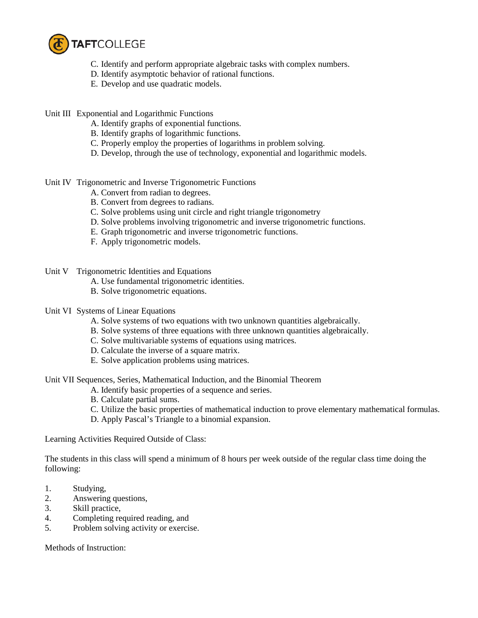

- C. Identify and perform appropriate algebraic tasks with complex numbers.
- D. Identify asymptotic behavior of rational functions.
- E. Develop and use quadratic models.

Unit III Exponential and Logarithmic Functions

- A. Identify graphs of exponential functions.
- B. Identify graphs of logarithmic functions.
- C. Properly employ the properties of logarithms in problem solving.
- D. Develop, through the use of technology, exponential and logarithmic models.

Unit IV Trigonometric and Inverse Trigonometric Functions

- A. Convert from radian to degrees.
- B. Convert from degrees to radians.
- C. Solve problems using unit circle and right triangle trigonometry
- D. Solve problems involving trigonometric and inverse trigonometric functions.
- E. Graph trigonometric and inverse trigonometric functions.
- F. Apply trigonometric models.

Unit V Trigonometric Identities and Equations

- A. Use fundamental trigonometric identities.
- B. Solve trigonometric equations.
- Unit VI Systems of Linear Equations
	- A. Solve systems of two equations with two unknown quantities algebraically.
	- B. Solve systems of three equations with three unknown quantities algebraically.
	- C. Solve multivariable systems of equations using matrices.
	- D. Calculate the inverse of a square matrix.
	- E. Solve application problems using matrices.

Unit VII Sequences, Series, Mathematical Induction, and the Binomial Theorem

- A. Identify basic properties of a sequence and series.
- B. Calculate partial sums.
- C. Utilize the basic properties of mathematical induction to prove elementary mathematical formulas.
- D. Apply Pascal's Triangle to a binomial expansion.

Learning Activities Required Outside of Class:

The students in this class will spend a minimum of 8 hours per week outside of the regular class time doing the following:

- 1. Studying,
- 2. Answering questions,
- 3. Skill practice,
- 4. Completing required reading, and
- 5. Problem solving activity or exercise.

Methods of Instruction: